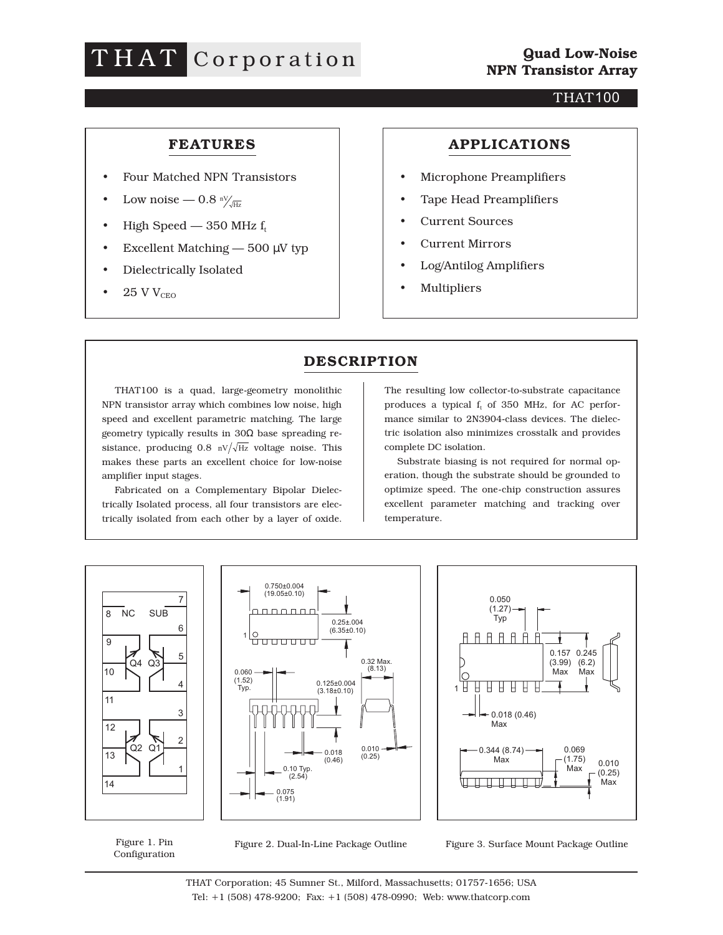# THAT Corporation

#### THAT100

#### **FEATURES**

- Four Matched NPN Transistors
- Low noise  $0.8 N_{\text{HZ}}$
- High Speed 350 MHz  $f_t$
- Excellent Matching  $-500 \mu V$  typ
- Dielectrically Isolated
- $\bullet$  25 V V<sub>CEO</sub>

#### **APPLICATIONS**

- Microphone Preamplifiers
- Tape Head Preamplifiers
- Current Sources
- Current Mirrors
- Log/Antilog Amplifiers
- Multipliers

### **DESCRIPTION**

THAT100 is a quad, large-geometry monolithic NPN transistor array which combines low noise, high speed and excellent parametric matching. The large geometry typically results in 30Ω base spreading resistance, producing 0.8  $\frac{nv}{\sqrt{Hz}}$  voltage noise. This makes these parts an excellent choice for low-noise amplifier input stages.

Fabricated on a Complementary Bipolar Dielectrically Isolated process, all four transistors are electrically isolated from each other by a layer of oxide.

The resulting low collector-to-substrate capacitance produces a typical  $f_t$  of 350 MHz, for AC performance similar to 2N3904-class devices. The dielectric isolation also minimizes crosstalk and provides complete DC isolation.

Substrate biasing is not required for normal operation, though the substrate should be grounded to optimize speed. The one-chip construction assures excellent parameter matching and tracking over temperature.



Figure 1. Pin Configuration



Figure 3. Surface Mount Package Outline